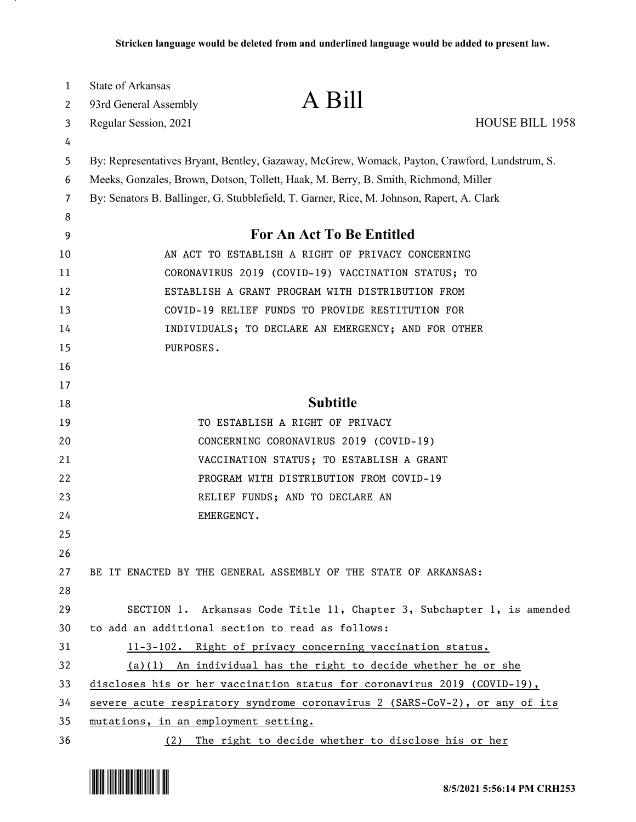| 1      | <b>State of Arkansas</b>                                                                                                                                                             | A Bill                                                                      |                        |
|--------|--------------------------------------------------------------------------------------------------------------------------------------------------------------------------------------|-----------------------------------------------------------------------------|------------------------|
| 2      | 93rd General Assembly                                                                                                                                                                |                                                                             |                        |
| 3      | Regular Session, 2021                                                                                                                                                                |                                                                             | <b>HOUSE BILL 1958</b> |
| 4<br>5 |                                                                                                                                                                                      |                                                                             |                        |
| 6      | By: Representatives Bryant, Bentley, Gazaway, McGrew, Womack, Payton, Crawford, Lundstrum, S.<br>Meeks, Gonzales, Brown, Dotson, Tollett, Haak, M. Berry, B. Smith, Richmond, Miller |                                                                             |                        |
| 7      | By: Senators B. Ballinger, G. Stubblefield, T. Garner, Rice, M. Johnson, Rapert, A. Clark                                                                                            |                                                                             |                        |
| 8      |                                                                                                                                                                                      |                                                                             |                        |
| 9      |                                                                                                                                                                                      | <b>For An Act To Be Entitled</b>                                            |                        |
| 10     |                                                                                                                                                                                      | AN ACT TO ESTABLISH A RIGHT OF PRIVACY CONCERNING                           |                        |
| 11     |                                                                                                                                                                                      | CORONAVIRUS 2019 (COVID-19) VACCINATION STATUS; TO                          |                        |
| 12     | ESTABLISH A GRANT PROGRAM WITH DISTRIBUTION FROM                                                                                                                                     |                                                                             |                        |
| 13     |                                                                                                                                                                                      | COVID-19 RELIEF FUNDS TO PROVIDE RESTITUTION FOR                            |                        |
| 14     |                                                                                                                                                                                      | INDIVIDUALS; TO DECLARE AN EMERGENCY; AND FOR OTHER                         |                        |
| 15     | PURPOSES.                                                                                                                                                                            |                                                                             |                        |
| 16     |                                                                                                                                                                                      |                                                                             |                        |
| 17     |                                                                                                                                                                                      |                                                                             |                        |
| 18     |                                                                                                                                                                                      | <b>Subtitle</b>                                                             |                        |
| 19     |                                                                                                                                                                                      | TO ESTABLISH A RIGHT OF PRIVACY                                             |                        |
| 20     |                                                                                                                                                                                      | CONCERNING CORONAVIRUS 2019 (COVID-19)                                      |                        |
| 21     |                                                                                                                                                                                      | VACCINATION STATUS; TO ESTABLISH A GRANT                                    |                        |
| 22     |                                                                                                                                                                                      | PROGRAM WITH DISTRIBUTION FROM COVID-19                                     |                        |
| 23     |                                                                                                                                                                                      | RELIEF FUNDS; AND TO DECLARE AN                                             |                        |
| 24     | EMERGENCY.                                                                                                                                                                           |                                                                             |                        |
| 25     |                                                                                                                                                                                      |                                                                             |                        |
| 26     |                                                                                                                                                                                      |                                                                             |                        |
| 27     |                                                                                                                                                                                      | BE IT ENACTED BY THE GENERAL ASSEMBLY OF THE STATE OF ARKANSAS:             |                        |
| 28     |                                                                                                                                                                                      |                                                                             |                        |
| 29     |                                                                                                                                                                                      | SECTION 1. Arkansas Code Title 11, Chapter 3, Subchapter 1, is amended      |                        |
| 30     | to add an additional section to read as follows:                                                                                                                                     |                                                                             |                        |
| 31     |                                                                                                                                                                                      | 11-3-102. Right of privacy concerning vaccination status.                   |                        |
| 32     |                                                                                                                                                                                      | (a)(1) An individual has the right to decide whether he or she              |                        |
| 33     |                                                                                                                                                                                      | discloses his or her vaccination status for coronavirus 2019 (COVID-19),    |                        |
| 34     |                                                                                                                                                                                      | severe acute respiratory syndrome coronavirus 2 (SARS-CoV-2), or any of its |                        |
| 35     | mutations, in an employment setting.                                                                                                                                                 |                                                                             |                        |
| 36     |                                                                                                                                                                                      | (2) The right to decide whether to disclose his or her                      |                        |